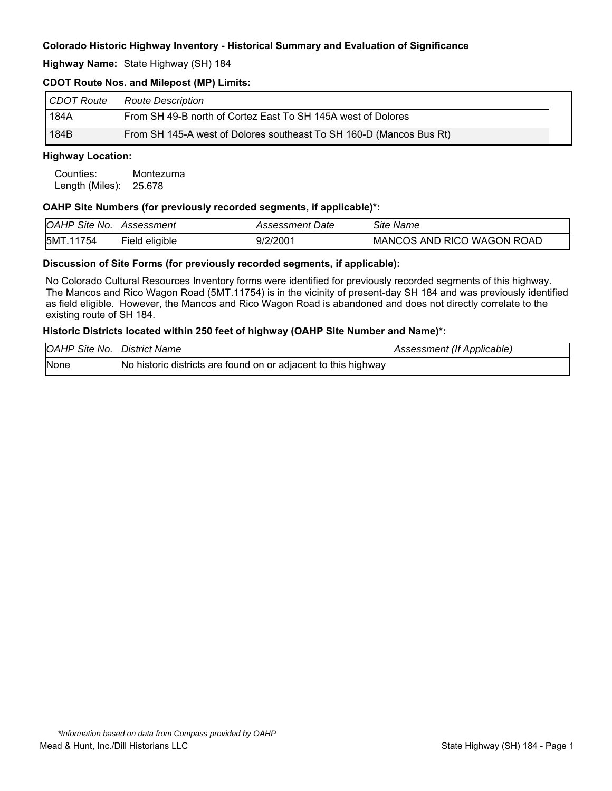**Highway Name:** State Highway (SH) 184

# **CDOT Route Nos. and Milepost (MP) Limits:**

| CDOT Route | <b>Route Description</b>                                            |
|------------|---------------------------------------------------------------------|
| 184A       | From SH 49-B north of Cortez East To SH 145A west of Dolores        |
| 184B       | From SH 145-A west of Dolores southeast To SH 160-D (Mancos Bus Rt) |

#### **Highway Location:**

Counties: Montezuma Length (Miles): 25.678

#### **OAHP Site Numbers (for previously recorded segments, if applicable)\*:**

| <b>OAHP Site No.</b> | Assessment        | Assessment Date | <b>Site Name</b>           |
|----------------------|-------------------|-----------------|----------------------------|
| 5MT.<br>1754         | eligible<br>-ield | 9/2/200'        | MANCOS AND RICO WAGON ROAD |

#### **Discussion of Site Forms (for previously recorded segments, if applicable):**

No Colorado Cultural Resources Inventory forms were identified for previously recorded segments of this highway. The Mancos and Rico Wagon Road (5MT.11754) is in the vicinity of present-day SH 184 and was previously identified as field eligible. However, the Mancos and Rico Wagon Road is abandoned and does not directly correlate to the existing route of SH 184.

# **Historic Districts located within 250 feet of highway (OAHP Site Number and Name)\*:**

| <b>OAHP Site No.</b> | District Name                                                  | Assessment (If Applicable) |
|----------------------|----------------------------------------------------------------|----------------------------|
| None                 | No historic districts are found on or adjacent to this highway |                            |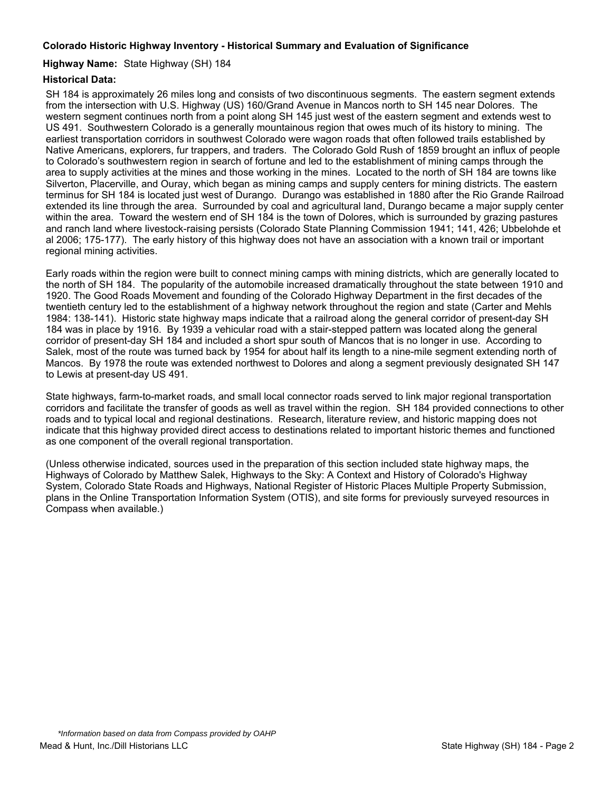### **Highway Name:** State Highway (SH) 184

# **Historical Data:**

SH 184 is approximately 26 miles long and consists of two discontinuous segments. The eastern segment extends from the intersection with U.S. Highway (US) 160/Grand Avenue in Mancos north to SH 145 near Dolores. The western segment continues north from a point along SH 145 just west of the eastern segment and extends west to US 491. Southwestern Colorado is a generally mountainous region that owes much of its history to mining. The earliest transportation corridors in southwest Colorado were wagon roads that often followed trails established by Native Americans, explorers, fur trappers, and traders. The Colorado Gold Rush of 1859 brought an influx of people to Colorado's southwestern region in search of fortune and led to the establishment of mining camps through the area to supply activities at the mines and those working in the mines. Located to the north of SH 184 are towns like Silverton, Placerville, and Ouray, which began as mining camps and supply centers for mining districts. The eastern terminus for SH 184 is located just west of Durango. Durango was established in 1880 after the Rio Grande Railroad extended its line through the area. Surrounded by coal and agricultural land, Durango became a major supply center within the area. Toward the western end of SH 184 is the town of Dolores, which is surrounded by grazing pastures and ranch land where livestock-raising persists (Colorado State Planning Commission 1941; 141, 426; Ubbelohde et al 2006; 175-177). The early history of this highway does not have an association with a known trail or important regional mining activities.

Early roads within the region were built to connect mining camps with mining districts, which are generally located to the north of SH 184. The popularity of the automobile increased dramatically throughout the state between 1910 and 1920. The Good Roads Movement and founding of the Colorado Highway Department in the first decades of the twentieth century led to the establishment of a highway network throughout the region and state (Carter and Mehls 1984: 138-141). Historic state highway maps indicate that a railroad along the general corridor of present-day SH 184 was in place by 1916. By 1939 a vehicular road with a stair-stepped pattern was located along the general corridor of present-day SH 184 and included a short spur south of Mancos that is no longer in use. According to Salek, most of the route was turned back by 1954 for about half its length to a nine-mile segment extending north of Mancos. By 1978 the route was extended northwest to Dolores and along a segment previously designated SH 147 to Lewis at present-day US 491.

State highways, farm-to-market roads, and small local connector roads served to link major regional transportation corridors and facilitate the transfer of goods as well as travel within the region. SH 184 provided connections to other roads and to typical local and regional destinations. Research, literature review, and historic mapping does not indicate that this highway provided direct access to destinations related to important historic themes and functioned as one component of the overall regional transportation.

(Unless otherwise indicated, sources used in the preparation of this section included state highway maps, the Highways of Colorado by Matthew Salek, Highways to the Sky: A Context and History of Colorado's Highway System, Colorado State Roads and Highways, National Register of Historic Places Multiple Property Submission, plans in the Online Transportation Information System (OTIS), and site forms for previously surveyed resources in Compass when available.)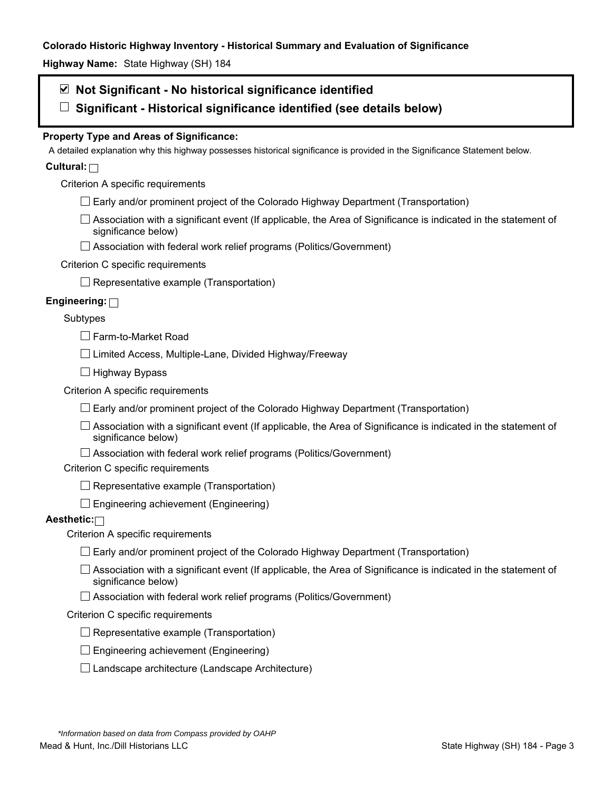**Highway Name:** State Highway (SH) 184

# **Not Significant - No historical significance identified**

**Significant - Historical significance identified (see details below)** 

# **Property Type and Areas of Significance:**

A detailed explanation why this highway possesses historical significance is provided in the Significance Statement below.

# **Cultural:**

Criterion A specific requirements

- $\Box$  Early and/or prominent project of the Colorado Highway Department (Transportation)
- $\Box$  Association with a significant event (If applicable, the Area of Significance is indicated in the statement of significance below)
- □ Association with federal work relief programs (Politics/Government)

# Criterion C specific requirements

 $\Box$  Representative example (Transportation)

# **Engineering:**

# Subtypes

□ Farm-to-Market Road

 $\Box$  Limited Access, Multiple-Lane, Divided Highway/Freeway

 $\Box$  Highway Bypass

Criterion A specific requirements

 $\Box$  Early and/or prominent project of the Colorado Highway Department (Transportation)

 $\Box$  Association with a significant event (If applicable, the Area of Significance is indicated in the statement of significance below)

 $\Box$  Association with federal work relief programs (Politics/Government)

Criterion C specific requirements

 $\Box$  Representative example (Transportation)

 $\Box$  Engineering achievement (Engineering)

# **Aesthetic:**

Criterion A specific requirements

- $\Box$  Early and/or prominent project of the Colorado Highway Department (Transportation)
- $\Box$  Association with a significant event (If applicable, the Area of Significance is indicated in the statement of significance below)
- $\Box$  Association with federal work relief programs (Politics/Government)

### Criterion C specific requirements

- $\Box$  Representative example (Transportation)
- $\square$  Engineering achievement (Engineering)
- $\square$  Landscape architecture (Landscape Architecture)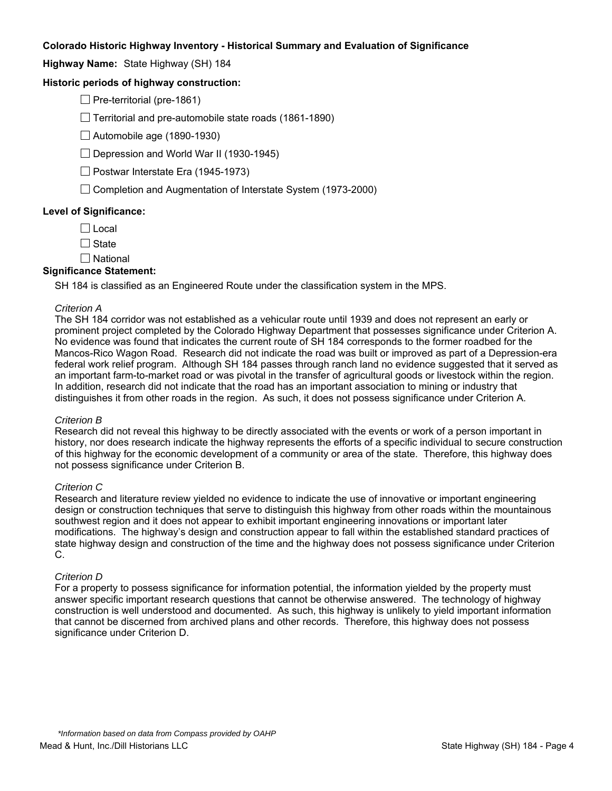**Highway Name:** State Highway (SH) 184

# **Historic periods of highway construction:**

 $\Box$  Pre-territorial (pre-1861)

 $\Box$  Territorial and pre-automobile state roads (1861-1890)

 $\Box$  Automobile age (1890-1930)

 $\Box$  Depression and World War II (1930-1945)

 $\Box$  Postwar Interstate Era (1945-1973)

 $\Box$  Completion and Augmentation of Interstate System (1973-2000)

### **Level of Significance:**

 $\Box$  Local

 $\Box$  State

 $\Box$  National

### **Significance Statement:**

SH 184 is classified as an Engineered Route under the classification system in the MPS.

#### *Criterion A*

The SH 184 corridor was not established as a vehicular route until 1939 and does not represent an early or prominent project completed by the Colorado Highway Department that possesses significance under Criterion A. No evidence was found that indicates the current route of SH 184 corresponds to the former roadbed for the Mancos-Rico Wagon Road. Research did not indicate the road was built or improved as part of a Depression-era federal work relief program. Although SH 184 passes through ranch land no evidence suggested that it served as an important farm-to-market road or was pivotal in the transfer of agricultural goods or livestock within the region. In addition, research did not indicate that the road has an important association to mining or industry that distinguishes it from other roads in the region. As such, it does not possess significance under Criterion A.

#### *Criterion B*

Research did not reveal this highway to be directly associated with the events or work of a person important in history, nor does research indicate the highway represents the efforts of a specific individual to secure construction of this highway for the economic development of a community or area of the state. Therefore, this highway does not possess significance under Criterion B.

#### *Criterion C*

Research and literature review yielded no evidence to indicate the use of innovative or important engineering design or construction techniques that serve to distinguish this highway from other roads within the mountainous southwest region and it does not appear to exhibit important engineering innovations or important later modifications. The highway's design and construction appear to fall within the established standard practices of state highway design and construction of the time and the highway does not possess significance under Criterion C.

#### *Criterion D*

For a property to possess significance for information potential, the information yielded by the property must answer specific important research questions that cannot be otherwise answered. The technology of highway construction is well understood and documented. As such, this highway is unlikely to yield important information that cannot be discerned from archived plans and other records. Therefore, this highway does not possess significance under Criterion D.